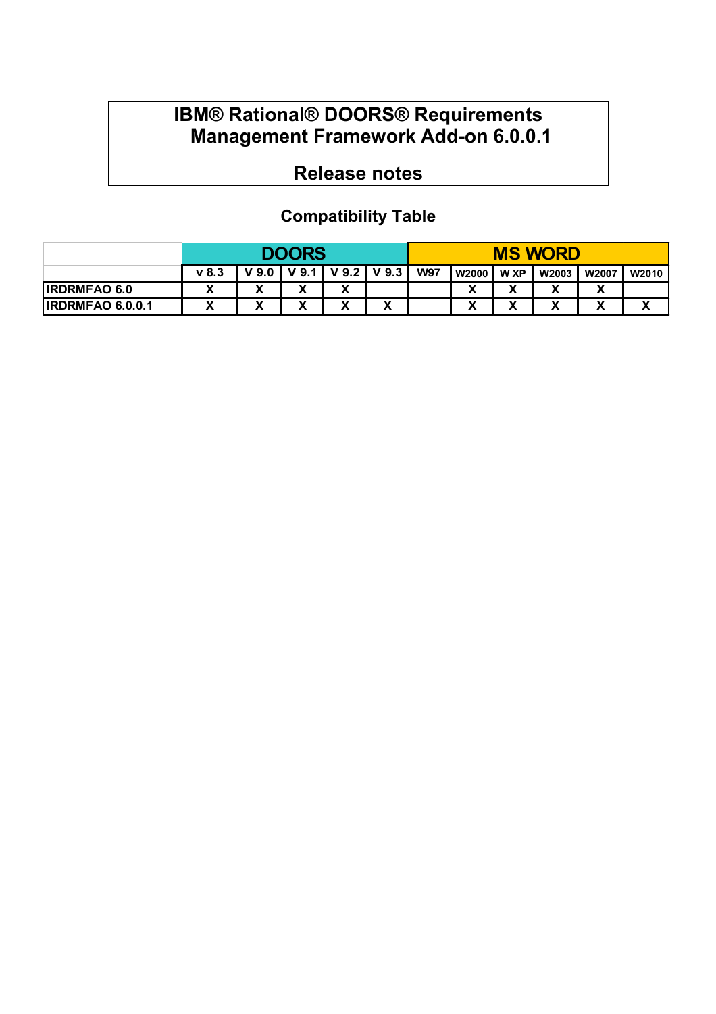# **IBM® Rational® DOORS® Requirements Management Framework Add-on 6.0.0.1**

# **Release notes**

# **Compatibility Table**

|                         | <b>DOORS</b> |         |        |        | <b>MS WORD</b>  |            |                   |        |       |         |              |
|-------------------------|--------------|---------|--------|--------|-----------------|------------|-------------------|--------|-------|---------|--------------|
|                         | $\vee$ 8.3   | $V$ 9.0 | V9.1   |        | $V$ 9.2 $V$ 9.3 | <b>W97</b> | <b>W2000</b>      | W XP   | W2003 | W2007   | <b>W2010</b> |
| <b>IRDRMFAO 6.0</b>     |              | v<br>Λ  | v      | v<br>Λ |                 |            | $\mathbf{v}$<br>Λ | х      | v     | v       |              |
| <b>IRDRMFAO 6.0.0.1</b> |              | Λ       | v<br>́ | v<br>Λ | v.<br>Λ         |            | v<br>Λ            | v<br>́ | Λ     | v.<br>↗ |              |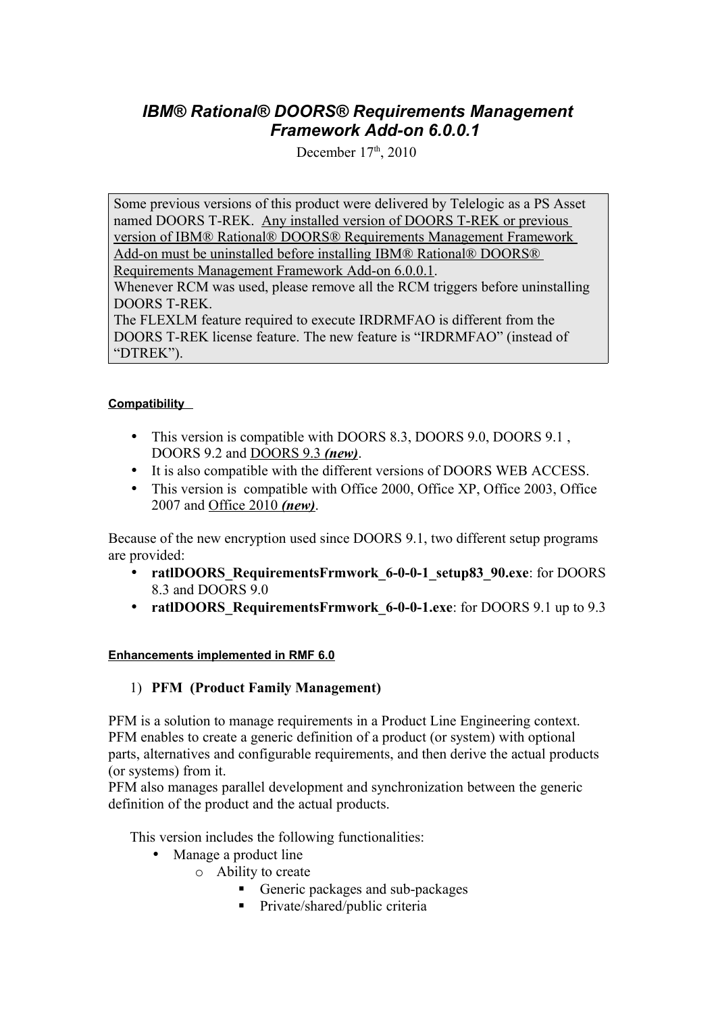# *IBM® Rational® DOORS® Requirements Management Framework Add-on 6.0.0.1*

December  $17<sup>th</sup>$ , 2010

Some previous versions of this product were delivered by Telelogic as a PS Asset named DOORS T-REK. Any installed version of DOORS T-REK or previous version of IBM® Rational® DOORS® Requirements Management Framework Add-on must be uninstalled before installing IBM® Rational® DOORS®

Requirements Management Framework Add-on 6.0.0.1.

Whenever RCM was used, please remove all the RCM triggers before uninstalling DOORS T-REK.

The FLEXLM feature required to execute IRDRMFAO is different from the DOORS T-REK license feature. The new feature is "IRDRMFAO" (instead of "DTREK").

### **Compatibility**

- This version is compatible with DOORS 8.3, DOORS 9.0, DOORS 9.1, DOORS 9.2 and DOORS 9.3 *(new)*.
- It is also compatible with the different versions of DOORS WEB ACCESS.
- This version is compatible with Office 2000, Office XP, Office 2003, Office 2007 and Office 2010 *(new)*.

Because of the new encryption used since DOORS 9.1, two different setup programs are provided:

- **ratlDOORS** RequirementsFrmwork 6-0-0-1 setup83 90.exe: for DOORS 8.3 and DOORS 9.0
- **ratlDOORS\_RequirementsFrmwork\_6-0-0-1.exe**: for DOORS 9.1 up to 9.3

### **Enhancements implemented in RMF 6.0**

## 1) **PFM (Product Family Management)**

PFM is a solution to manage requirements in a Product Line Engineering context. PFM enables to create a generic definition of a product (or system) with optional parts, alternatives and configurable requirements, and then derive the actual products (or systems) from it.

PFM also manages parallel development and synchronization between the generic definition of the product and the actual products.

This version includes the following functionalities:

- Manage a product line
	- o Ability to create
		- Generic packages and sub-packages
		- **Private/shared/public criteria**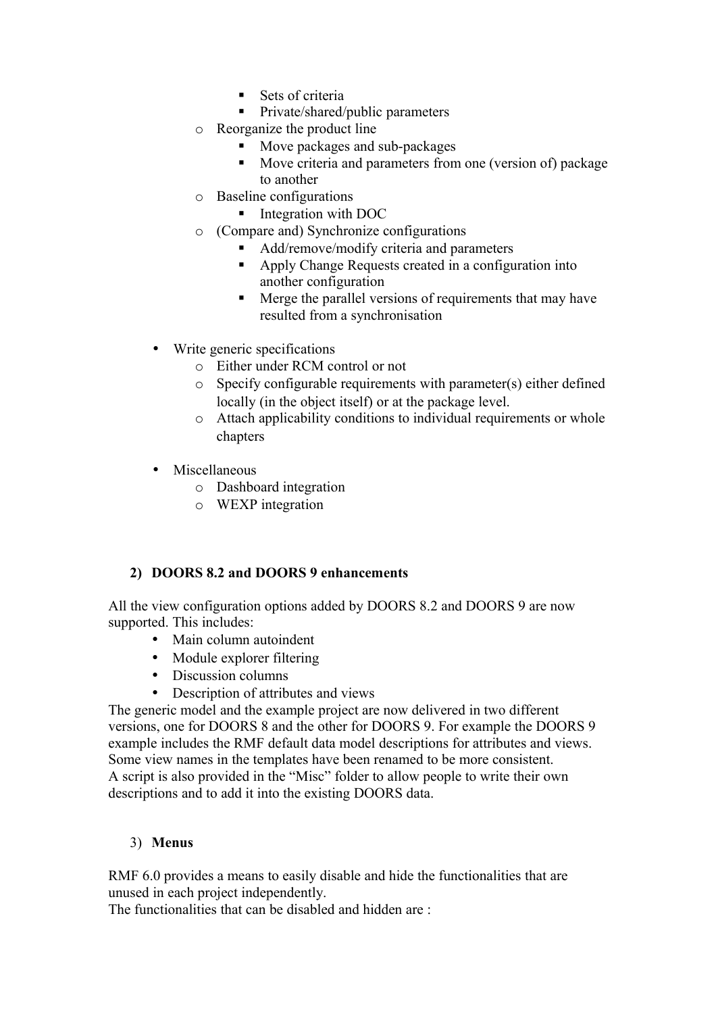- Sets of criteria
- **Private/shared/public parameters**
- o Reorganize the product line
	- Move packages and sub-packages
	- Move criteria and parameters from one (version of) package to another
- o Baseline configurations
	- **Integration with DOC**
- o (Compare and) Synchronize configurations
	- Add/remove/modify criteria and parameters
	- Apply Change Requests created in a configuration into another configuration
	- Merge the parallel versions of requirements that may have resulted from a synchronisation
- Write generic specifications
	- o Either under RCM control or not
	- o Specify configurable requirements with parameter(s) either defined locally (in the object itself) or at the package level.
	- o Attach applicability conditions to individual requirements or whole chapters
- Miscellaneous
	- o Dashboard integration
	- o WEXP integration

### **2) DOORS 8.2 and DOORS 9 enhancements**

All the view configuration options added by DOORS 8.2 and DOORS 9 are now supported. This includes:

- Main column autoindent
- Module explorer filtering
- Discussion columns
- Description of attributes and views

The generic model and the example project are now delivered in two different versions, one for DOORS 8 and the other for DOORS 9. For example the DOORS 9 example includes the RMF default data model descriptions for attributes and views. Some view names in the templates have been renamed to be more consistent. A script is also provided in the "Misc" folder to allow people to write their own descriptions and to add it into the existing DOORS data.

### 3) **Menus**

RMF 6.0 provides a means to easily disable and hide the functionalities that are unused in each project independently.

The functionalities that can be disabled and hidden are :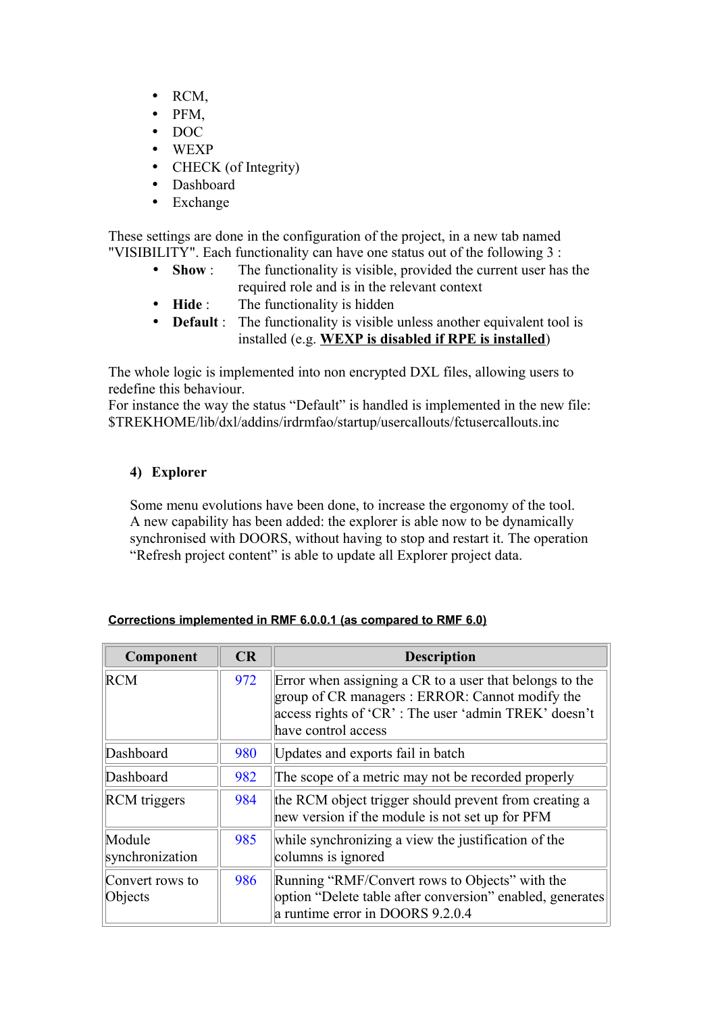- RCM,
- PFM,
- DOC
- WEXP
- CHECK (of Integrity)
- Dashboard
- Exchange

These settings are done in the configuration of the project, in a new tab named "VISIBILITY". Each functionality can have one status out of the following 3 :

- **Show** : The functionality is visible, provided the current user has the required role and is in the relevant context
- **Hide** : The functionality is hidden
- **Default**: The functionality is visible unless another equivalent tool is installed (e.g. **WEXP is disabled if RPE is installed**)

The whole logic is implemented into non encrypted DXL files, allowing users to redefine this behaviour.

For instance the way the status "Default" is handled is implemented in the new file: \$TREKHOME/lib/dxl/addins/irdrmfao/startup/usercallouts/fctusercallouts.inc

## **4) Explorer**

Some menu evolutions have been done, to increase the ergonomy of the tool. A new capability has been added: the explorer is able now to be dynamically synchronised with DOORS, without having to stop and restart it. The operation "Refresh project content" is able to update all Explorer project data.

| Component                  | CR  | <b>Description</b>                                                                                                                                                                        |
|----------------------------|-----|-------------------------------------------------------------------------------------------------------------------------------------------------------------------------------------------|
| <b>RCM</b>                 | 972 | Error when assigning a CR to a user that belongs to the<br>group of CR managers : ERROR: Cannot modify the<br>access rights of 'CR': The user 'admin TREK' doesn't<br>have control access |
| Dashboard                  | 980 | Updates and exports fail in batch                                                                                                                                                         |
| Dashboard                  | 982 | The scope of a metric may not be recorded properly                                                                                                                                        |
| <b>RCM</b> triggers        | 984 | the RCM object trigger should prevent from creating a<br>new version if the module is not set up for PFM                                                                                  |
| Module<br>synchronization  | 985 | while synchronizing a view the justification of the<br>columns is ignored                                                                                                                 |
| Convert rows to<br>Objects | 986 | Running "RMF/Convert rows to Objects" with the<br>option "Delete table after conversion" enabled, generates<br>a runtime error in DOORS 9.2.0.4                                           |

### **Corrections implemented in RMF 6.0.0.1 (as compared to RMF 6.0)**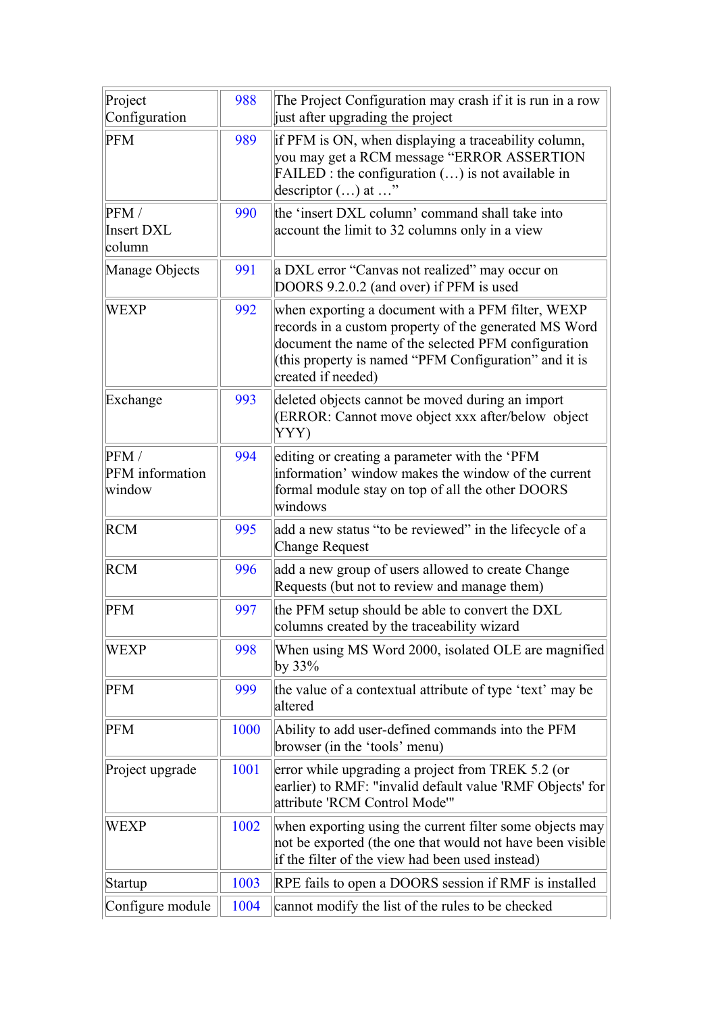| Project<br>Configuration            | 988  | The Project Configuration may crash if it is run in a row<br>just after upgrading the project                                                                                                                                                    |
|-------------------------------------|------|--------------------------------------------------------------------------------------------------------------------------------------------------------------------------------------------------------------------------------------------------|
| <b>PFM</b>                          | 989  | if PFM is ON, when displaying a traceability column,<br>you may get a RCM message "ERROR ASSERTION<br>$FAILED$ : the configuration $()$ is not available in<br>descriptor $()$ at $$ "                                                           |
| PFM/<br><b>Insert DXL</b><br>column | 990  | the 'insert DXL column' command shall take into<br>account the limit to 32 columns only in a view                                                                                                                                                |
| Manage Objects                      | 991  | a DXL error "Canvas not realized" may occur on<br>DOORS 9.2.0.2 (and over) if PFM is used                                                                                                                                                        |
| <b>WEXP</b>                         | 992  | when exporting a document with a PFM filter, WEXP<br>records in a custom property of the generated MS Word<br>document the name of the selected PFM configuration<br>(this property is named "PFM Configuration" and it is<br>created if needed) |
| Exchange                            | 993  | deleted objects cannot be moved during an import<br>(ERROR: Cannot move object xxx after/below object<br>YYY)                                                                                                                                    |
| PFM/<br>PFM information<br>window   | 994  | editing or creating a parameter with the 'PFM<br>information' window makes the window of the current<br>formal module stay on top of all the other DOORS<br>windows                                                                              |
| <b>RCM</b>                          | 995  | add a new status "to be reviewed" in the lifecycle of a<br><b>Change Request</b>                                                                                                                                                                 |
| <b>RCM</b>                          | 996  | add a new group of users allowed to create Change<br>Requests (but not to review and manage them)                                                                                                                                                |
| <b>PFM</b>                          | 997  | the PFM setup should be able to convert the DXL<br>columns created by the traceability wizard                                                                                                                                                    |
| WEXP                                | 998  | When using MS Word 2000, isolated OLE are magnified<br>by $33%$                                                                                                                                                                                  |
| <b>PFM</b>                          | 999  | the value of a contextual attribute of type 'text' may be<br>altered                                                                                                                                                                             |
| <b>PFM</b>                          | 1000 | Ability to add user-defined commands into the PFM<br>browser (in the 'tools' menu)                                                                                                                                                               |
| Project upgrade                     | 1001 | error while upgrading a project from TREK 5.2 (or<br>earlier) to RMF: "invalid default value 'RMF Objects' for<br>attribute 'RCM Control Mode'"                                                                                                  |
| WEXP                                | 1002 | when exporting using the current filter some objects may<br>not be exported (the one that would not have been visible<br>if the filter of the view had been used instead)                                                                        |
| Startup                             | 1003 | RPE fails to open a DOORS session if RMF is installed                                                                                                                                                                                            |
| Configure module                    | 1004 | cannot modify the list of the rules to be checked                                                                                                                                                                                                |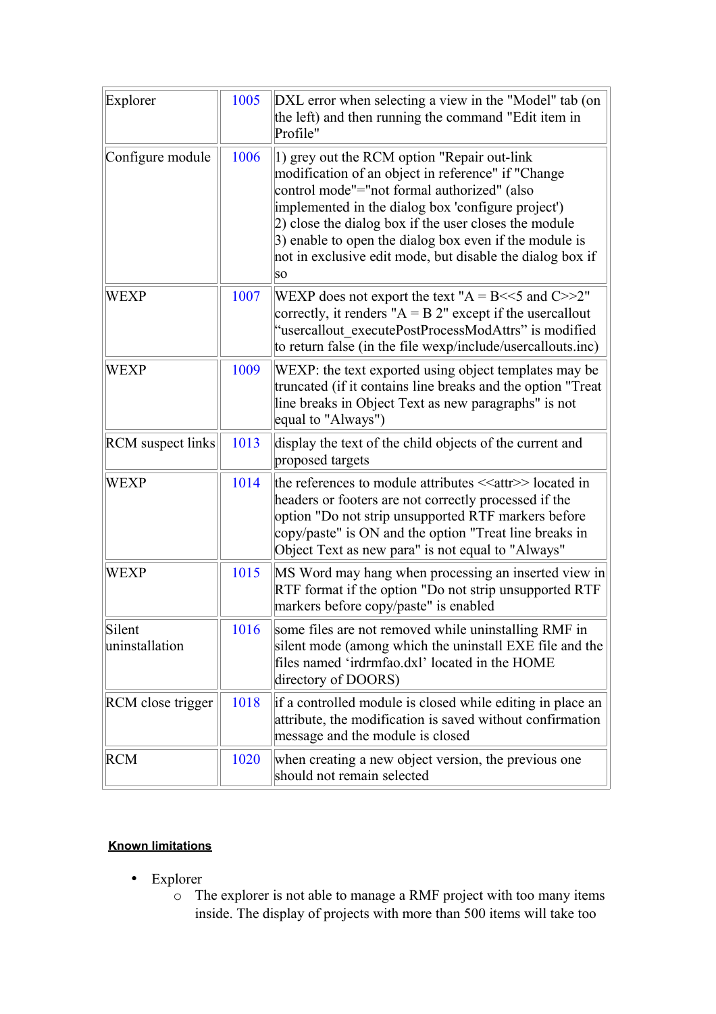| Explorer                 | 1005 | DXL error when selecting a view in the "Model" tab (on<br>the left) and then running the command "Edit item in<br>Profile"                                                                                                                                                                                                                                                                               |  |
|--------------------------|------|----------------------------------------------------------------------------------------------------------------------------------------------------------------------------------------------------------------------------------------------------------------------------------------------------------------------------------------------------------------------------------------------------------|--|
| Configure module         | 1006 | 1) grey out the RCM option "Repair out-link"<br>modification of an object in reference" if "Change<br>control mode"="not formal authorized" (also<br>implemented in the dialog box 'configure project')<br>2) close the dialog box if the user closes the module<br>3) enable to open the dialog box even if the module is<br>not in exclusive edit mode, but disable the dialog box if<br><sub>SO</sub> |  |
| WEXP                     | 1007 | WEXP does not export the text " $A = B \ll 5$ and $C >> 2$ "<br>correctly, it renders " $A = B 2$ " except if the usercallout<br>"usercallout executePostProcessModAttrs" is modified<br>to return false (in the file wexp/include/usercallouts.inc)                                                                                                                                                     |  |
| <b>WEXP</b>              | 1009 | WEXP: the text exported using object templates may be<br>truncated (if it contains line breaks and the option "Treat<br>line breaks in Object Text as new paragraphs" is not<br>equal to "Always")                                                                                                                                                                                                       |  |
| <b>RCM</b> suspect links | 1013 | display the text of the child objects of the current and<br>proposed targets                                                                                                                                                                                                                                                                                                                             |  |
| WEXP                     | 1014 | the references to module attributes < <attr>&gt;located in<br/>headers or footers are not correctly processed if the<br/>option "Do not strip unsupported RTF markers before<br/>copy/paste" is ON and the option "Treat line breaks in<br/>Object Text as new para" is not equal to "Always"</attr>                                                                                                     |  |
| WEXP                     | 1015 | MS Word may hang when processing an inserted view in<br>RTF format if the option "Do not strip unsupported RTF<br>markers before copy/paste" is enabled                                                                                                                                                                                                                                                  |  |
| Silent<br>uninstallation | 1016 | some files are not removed while uninstalling RMF in<br>silent mode (among which the uninstall EXE file and the<br>files named 'irdrmfao.dxl' located in the HOME<br>directory of DOORS)                                                                                                                                                                                                                 |  |
| RCM close trigger        | 1018 | if a controlled module is closed while editing in place an<br>attribute, the modification is saved without confirmation<br>message and the module is closed                                                                                                                                                                                                                                              |  |
| <b>RCM</b>               | 1020 | when creating a new object version, the previous one<br>should not remain selected                                                                                                                                                                                                                                                                                                                       |  |

# **Known limitations**

- Explorer
	- o The explorer is not able to manage a RMF project with too many items inside. The display of projects with more than 500 items will take too